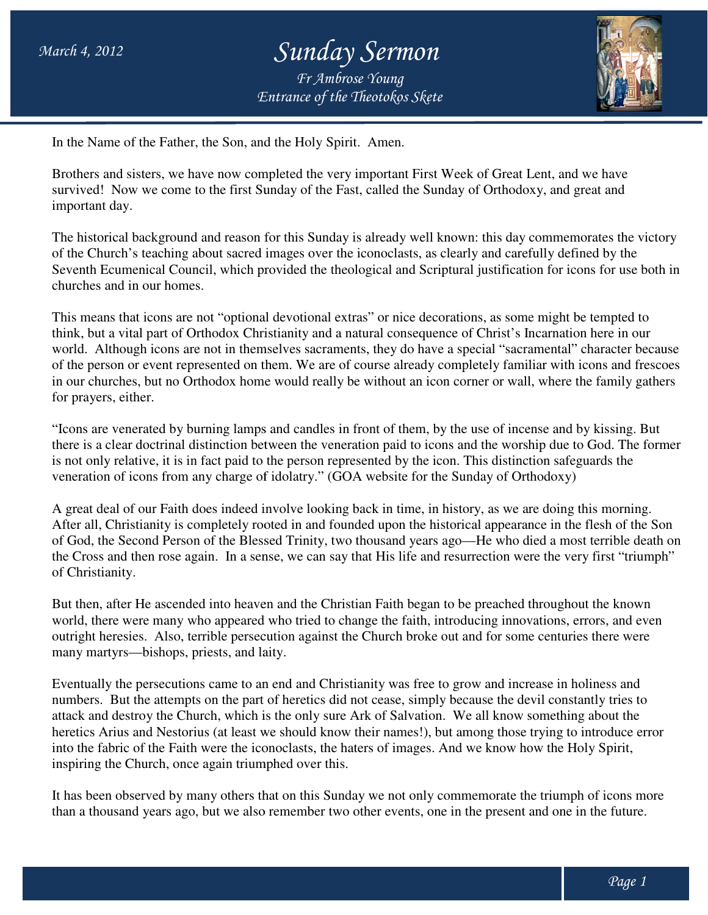## *Entrance of the Theotokos Skete Sunday Sermon Fr Ambrose Young*



In the Name of the Father, the Son, and the Holy Spirit. Amen.

Brothers and sisters, we have now completed the very important First Week of Great Lent, and we have survived! Now we come to the first Sunday of the Fast, called the Sunday of Orthodoxy, and great and important day. Brothers and sisters, we have now completed the very important First Week of Great Lent, and we have<br>survived! Now we come to the first Sunday of the Fast, called the Sunday of Orthodoxy, and great and<br>important day.<br>The h

of the Church's teaching about sacred images over the iconoclasts, as clearly and carefully defined by the of the Church's teaching about sacred images over the iconoclasts, as clearly and carefully defined by the<br>Seventh Ecumenical Council, which provided the theological and Scriptural justification for icons for use both in churches and in our homes.

This means that icons are not "optional devotional extras" or nice decorations, as some might be tempted to think, but a vital part of Orthodox Christianity and a natural consequence of Christ's In world. Although icons are not in themselves sacraments, they do have a special "sacramental" character because of the person or event represented on them. We are of course already completely familiar with icons and frescoes of the person or event represented on them. We are of course already completely familiar with icons and frescoes<br>in our churches, but no Orthodox home would really be without an icon corner or wall, where the family gather for prayers, either. tion for icons for use bo<br>ne might be tempted to<br>Incarnation here in our

"Icons are venerated by burning lamps and candles in front of them, by the use of incense and by kissing. But there is a clear doctrinal distinction between the veneration paid to icons and the worship due to God. The former is not only relative, it is in fact paid to the person represented by the icon. This distinction safeguards the veneration of icons from any charge of idolatry." (GOA website for the Sunday of Orthodoxy) cons are venerated by burning lamps and candles in front of them, by the use of incense and by kissing.<br>
ere is a clear doctrinal distinction between the veneration paid to icons and the worship due to God. The<br>
not only r

veneration of icons from any charge of idolatry." (GOA website for the Sunday of Orthodoxy)<br>A great deal of our Faith does indeed involve looking back in time, in history, as we are doing this morning. After all, Christianity is completely rooted in and founded upon the historical appearance in the fle flesh of the Son A great deal of our Faith does indeed involve looking back in time, in history, as we are doing this morning.<br>After all, Christianity is completely rooted in and founded upon the historical appearance in the flesh of the S the Cross and then rose again. In a sense, we can say that His life and resurrection were the very first "triumph" of Christianity.

But then, after He ascended into heaven and the Christian Faith began to be preached throughout the known world, there were many who appeared who tried to change the faith, introducing innovations, errors, and even outright heresies. Also, terrible persecution against the Church broke out and for some centuries there were many martyrs—bishops, priests, and laity. md then rose again. In a sense, we can say that His life and resurrection were the very first "triu<br>ity.<br>The Fe ascended into heaven and the Christian Faith began to be preached throughout the know<br>evere many who appeared

Eventually the persecutions came to an end and Christianity was free to grow and increase in holiness and numbers. But the attempts on the part of heretics did not cease, simply because the devil constantly tries to attack and destroy the Church, which is the only sure Ark of Salvation. heretics Arius and Nestorius (at least we should know their names!), but among those trying to introduce error into the fabric of the Faith were the iconoclasts, the haters of images. And we know how the Holy Spirit, into the fabric of the Faith were the iconoclasts, the haspiring the Church, once again triumphed over this. Isand years ago—He who died a most terrible death<br>His life and resurrection were the very first "triumph<br>Faith began to be preached throughout the known<br>the faith, introducing innovations, errors, and even<br>urch broke out a

It has been observed by many others that on this Sunday we not only commemorate the triumph of icons more than a thousand years ago, but we also remember two other events, one in the present and one in the future.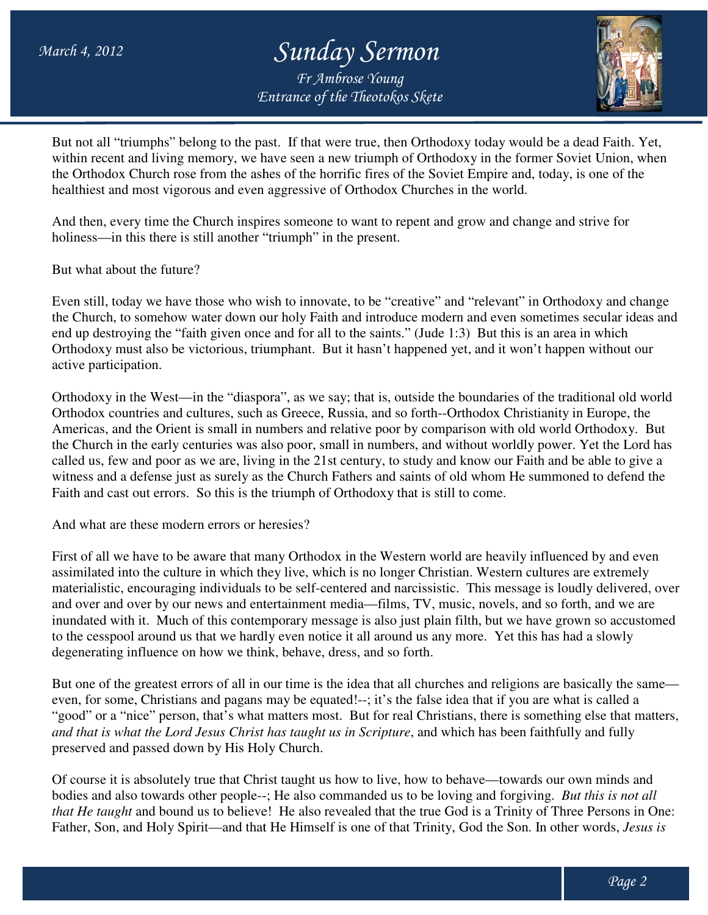## *Entrance of the Theotokos Skete Sunday Sermon Fr Ambrose Young*



But not all "triumphs" belong to the past. If that were true, then Orthodoxy today would be a dead Faith. Yet, within recent and living memory, we have seen a new triumph of Orthodoxy in the former Soviet Union, when the Orthodox Church rose from the ashes of the horrific fires of the Soviet Empire and, today, is one of the healthiest and most vigorous and even aggressive of Orthodox Churches in the world. healthiest and most vigorous and even aggressive of Orthodox Churches in the world.

And then, every time the Church inspires someone to want to repent and grow and change and strive for holiness—in this there is still another "triumph" in the present.

But what about the future?

Even still, today we have those who wish to innovate, to be "creative" and "relevant" in Orthodoxy and change the Church, to somehow water down our holy Faith and introduce modern and even sometimes secular ideas and end up destroying the "faith given once and for all to the saints." (Jude 1:3) But this is an area in which Orthodoxy must also be victorious, triumphant. But it hasn't happened yet, and it won't happen without our active participation. who wish to innovate, to be "creative" and "relevant" in Orthodoxy and down our holy Faith and introduce modern and even sometimes secular is en once and for all to the saints." (Jude 1:3) But this is an area in which

Orthodoxy in the West—in the "diaspora", as we say; that is, outside the boundaries of the traditional old world Orthodox countries and cultures, such as Greece, Russia, and so forth--Orthodox Christianity in Europe, the Americas, and the Orient is small in numbers and relative poor by comparison with old world Orthodoxy. the Church in the early centuries was also poor, small in numbers, and without worldly power. Yet the Lord has called us, few and poor as we are, living in the 21st century, to study and know our Faith and be able to give a called us, few and poor as we are, living in the 21st century, to study and know our Faith and be able to give a<br>witness and a defense just as surely as the Church Fathers and saints of old whom He summoned to defend the Faith and cast out errors. So this is the triumph of Orthodoxy that is still to come.<br>And what are these modern errors or heresies? e 1:3) But this is an area in which<br>id yet, and it won't happen without our<br>the boundaries of the traditional old world<br>--Orthodox Christianity in Europe, the<br>nparison with old world Orthodoxy. But

And what are these modern errors or heresies?

First of all we have to be aware that many Orthodox in the Western world are heavily influenced by and even First of all we have to be aware that many Orthodox in the Western world are heavily influenced by and even assimilated into the culture in which they live, which is no longer Christian. Western cultures are extremely materialistic, encouraging individuals to be self-centered and narcissistic. This message is loudly delivered, over and over and over by our news and entertainment media—films, TV, music, novels, and so forth, and we are inundated with it. Much of this contemporary message is also just plain filth filth, but we have grown so accustomed to the cesspool around us that we hardly even notice it all around us any more. Yet this has had a slowly degenerating influence on how we think, behave, dress, and so forth. and over and over by our news and entertainment media—films, TV, music, novels, and so forth, and we are<br>
inundated with it. Much of this contemporary message is also just plain filth, but we have grown so accustomed<br>
to t

even, for some, Christians and pagans may be equated!--; it's the false idea that if you are what is called a "good" or a "nice" person, that's what matters most. But for real Christians, there is something else that matters, and that is what the Lord Jesus Christ has taught us in Scripture, and which has been faithfully and fully preserved and passed down by His Holy Church. Church. may be equated!--; it's the false idea that if you are what is called a<br>matters most. But for real Christians, there is something else that matt<br>has taught us in Scripture, and which has been faithfully and fully<br>ly Church

Of course it is absolutely true that Christ taught us how to live, how to behave—towards our own minds and bodies and also towards other people--; He also commanded us to be loving and forgiving. that He taught and bound us to believe! He also revealed that the true God is a Trinity of Three Persons in One: Father, Son, and Holy Spirit—and that He Himself is one of that Trinity, God the Son. In other words, *Jesus is*